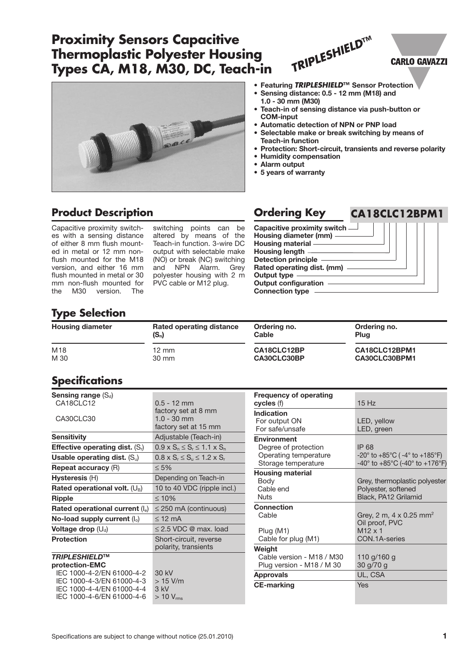# **Proximity Sensors Capacitive Thermoplastic Polyester Housing Types CA, M18, M30, DC, Teach-in**

#### **• Featuring** *TRIPLESHIELD***™ Sensor Protection**

*TRIPLESHIELD***™**

- **• Sensing distance: 0.5 - 12 mm (M18) and 1.0 - 30 mm (M30)**
- **• Teach-in of sensing distance via push-button or COM-input**
- **• Automatic detection of NPN or PNP load**
- **• Selectable make or break switching by means of Teach-in function**
- **• Protection: Short-circuit, transients and reverse polarity**
- **• Humidity compensation**
- **• Alarm output**
- **• 5 years of warranty**

### **Product Description Ordering Key**

Capacitive proximity switches with a sensing distance of either 8 mm flush mounted in metal or 12 mm nonflush mounted for the M18 version, and either 16 mm flush mounted in metal or 30 mm non-flush mounted for the M30 version. The

switching points can be altered by means of the Teach-in function. 3-wire DC output with selectable make (NO) or break (NC) switching and NPN Alarm. Grey polyester housing with 2 m PVC cable or M12 plug.

**Capacitive proximity switch Housing diameter (mm) Housing material Housing length Detection principle Rated operating dist. (mm) Output type Output configuration Connection type**

## **Type Selection**

| <b>Housing diameter</b> | Rated operating distance | Ordering no. | Ordering no.  |
|-------------------------|--------------------------|--------------|---------------|
|                         | $(S_n)$                  | Cable        | Plug          |
| M18                     | $12 \text{ mm}$          | CA18CLC12BP  | CA18CLC12BPM1 |
| M 30                    | $30 \text{ mm}$          | CA30CLC30BP  | CA30CLC30BPM1 |

## **Specifications**

| Sensing range $(S_d)$                   |                                               |
|-----------------------------------------|-----------------------------------------------|
| CA18CLC12                               | $0.5 - 12$ mm                                 |
|                                         | factory set at 8 mm                           |
| CA30CLC30                               | $1.0 - 30$ mm                                 |
|                                         | factory set at 15 mm                          |
| <b>Sensitivity</b>                      | Adjustable (Teach-in)                         |
| <b>Effective operating dist.</b> $(Sr)$ | $0.9 \times S_n \leq S_r \leq 1.1 \times S_n$ |
| Usable operating dist. $(S_u)$          | $0.8 \times S_r \le S_u \le 1.2 \times S_r$   |
| <b>Repeat accuracy (R)</b>              | $\leq 5\%$                                    |
| Hysteresis (H)                          | Depending on Teach-in                         |
| Rated operational volt. $(U_B)$         | 10 to 40 VDC (ripple incl.)                   |
| <b>Ripple</b>                           | $\leq 10\%$                                   |
| Rated operational current $(I_e)$       | $\leq$ 250 mA (continuous)                    |
| No-load supply current $(I_0)$          | $<$ 12 mA                                     |
| <b>Voltage drop</b> $(U_d)$             | $\leq$ 2.5 VDC @ max. load                    |
| <b>Protection</b>                       | Short-circuit, reverse                        |
|                                         | polarity, transients                          |
| <b>TRIPLESHIELD™</b>                    |                                               |
| protection-EMC                          |                                               |
| IEC 1000-4-2/EN 61000-4-2               | 30 kV                                         |
| IEC 1000-4-3/EN 61000-4-3               | $>15$ V/m                                     |
| IEC 1000-4-4/EN 61000-4-4               | 3 kV                                          |
| IEC 1000-4-6/EN 61000-4-6               | $>$ 10 $\rm V_{rms}$                          |

| <b>Frequency of operating</b><br>cycles (f)                                                | 15Hz                                                                                                             |
|--------------------------------------------------------------------------------------------|------------------------------------------------------------------------------------------------------------------|
| <b>Indication</b><br>For output ON<br>For safe/unsafe                                      | LED, yellow<br>LED, green                                                                                        |
| <b>Environment</b><br>Degree of protection<br>Operating temperature<br>Storage temperature | IP 68<br>$-20^{\circ}$ to $+85^{\circ}$ C ( -4 $^{\circ}$ to $+185^{\circ}$ F)<br>-40° to +85°C (-40° to +176°F) |
| <b>Housing material</b><br>Body<br>Cable end<br>Nuts                                       | Grey, thermoplastic polyester<br>Polyester, softened<br>Black, PA12 Grilamid                                     |
| <b>Connection</b><br>Cable<br>Plug (M1)<br>Cable for plug (M1)                             | Grey, 2 m, 4 x 0.25 mm <sup>2</sup><br>Oil proof, PVC<br>$M12 \times 1$<br>CON.1A-series                         |
| Weight<br>Cable version - M18 / M30<br>Plug version - M18 / M 30                           | 110 g/160 g<br>30 g/70 g                                                                                         |
| <b>Approvals</b>                                                                           | UL, CSA                                                                                                          |
| <b>CE-marking</b>                                                                          | Yes                                                                                                              |

### **CARLO GAVAZZI**

**CA18CLC12BPM1**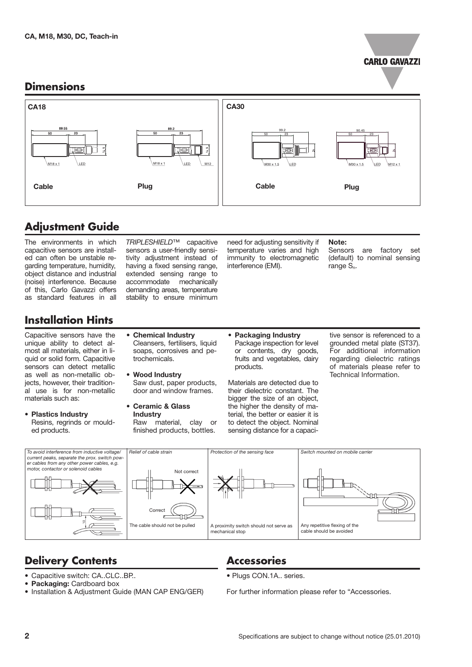

### **Dimensions**



# **Adjustment Guide**

The environments in which capacitive sensors are installed can often be unstable regarding temperature, humidity, object distance and industrial (noise) interference. Because of this, Carlo Gavazzi offers as standard features in all

*TRIPLESHIELD*™ capacitive sensors a user-friendly sensitivity adjustment instead of having a fixed sensing range, extended sensing range to accommodate mechanically demanding areas, temperature stability to ensure minimum need for adjusting sensitivity if temperature varies and high immunity to electromagnetic interference (EMI).

#### **Note:**

Sensors are factory set (default) to nominal sensing range S<sub>n</sub>.

# **Installation Hints**

Capacitive sensors have the unique ability to detect almost all materials, either in liquid or solid form. Capacitive sensors can detect metallic as well as non-metallic objects, however, their traditional use is for non-metallic materials such as:

- **Plastics Industry** Resins, regrinds or moulded products.
- **Chemical Industry** Cleansers, fertilisers, liquid soaps, corrosives and petrochemicals.
- **Wood Industry** Saw dust, paper products, door and window frames.
- **Ceramic & Glass Industry** Raw material, clay or finished products, bottles.
- **Packaging Industry** Package inspection for level or contents, dry goods, fruits and vegetables, dairy products.

Materials are detected due to their dielectric constant. The bigger the size of an object, the higher the density of material, the better or easier it is to detect the object. Nominal sensing distance for a capacitive sensor is referenced to a grounded metal plate (ST37). For additional information regarding dielectric ratings of materials please refer to Technical Information.



# **Delivery Contents**

- **•** Capacitive switch: CA..CLC..BP..
- **• Packaging:** Cardboard box
- Installation & Adjustment Guide (MAN CAP ENG/GER)
- **Accessories**
- **•** Plugs CON.1A.. series.

For further information please refer to "Accessories.